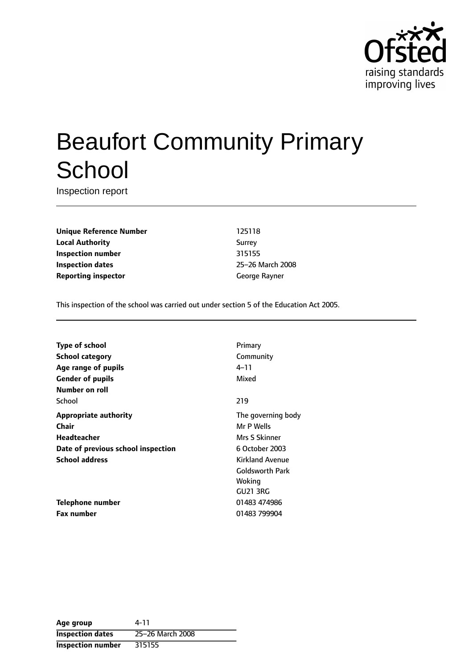

# Beaufort Community Primary **School**

Inspection report

**Unique Reference Number** 125118 **Local Authority** Surrey **Inspection number** 315155 **Inspection dates** 25-26 March 2008 **Reporting inspector** George Rayner

This inspection of the school was carried out under section 5 of the Education Act 2005.

| <b>Type of school</b>              | Primary                |
|------------------------------------|------------------------|
| <b>School category</b>             | Community              |
| Age range of pupils                | 4–11                   |
| <b>Gender of pupils</b>            | Mixed                  |
| Number on roll                     |                        |
| School                             | 219                    |
| <b>Appropriate authority</b>       | The governing body     |
| Chair                              | Mr P Wells             |
| Headteacher                        | Mrs S Skinner          |
| Date of previous school inspection | 6 October 2003         |
| <b>School address</b>              | <b>Kirkland Avenue</b> |
|                                    | Goldsworth Park        |
|                                    | Woking                 |
|                                    | <b>GU21 3RG</b>        |
| Telephone number                   | 01483 474986           |
| <b>Fax number</b>                  | 01483 799904           |
|                                    |                        |

| Age group                | 4-11             |
|--------------------------|------------------|
| <b>Inspection dates</b>  | 25-26 March 2008 |
| <b>Inspection number</b> | 315155           |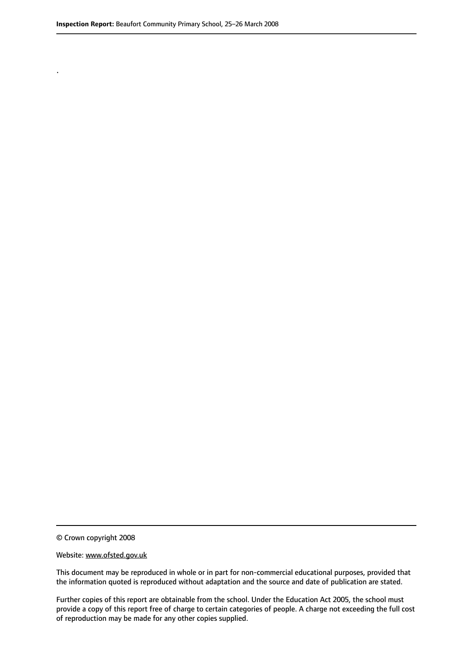.

© Crown copyright 2008

#### Website: www.ofsted.gov.uk

This document may be reproduced in whole or in part for non-commercial educational purposes, provided that the information quoted is reproduced without adaptation and the source and date of publication are stated.

Further copies of this report are obtainable from the school. Under the Education Act 2005, the school must provide a copy of this report free of charge to certain categories of people. A charge not exceeding the full cost of reproduction may be made for any other copies supplied.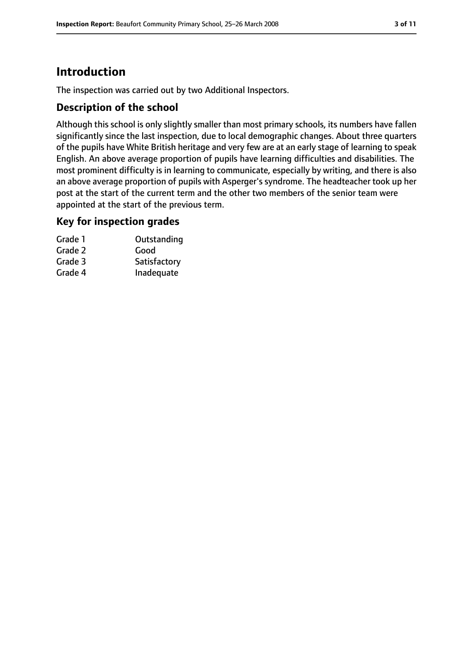# **Introduction**

The inspection was carried out by two Additional Inspectors.

## **Description of the school**

Although this school is only slightly smaller than most primary schools, its numbers have fallen significantly since the last inspection, due to local demographic changes. About three quarters of the pupils have White British heritage and very few are at an early stage of learning to speak English. An above average proportion of pupils have learning difficulties and disabilities. The most prominent difficulty is in learning to communicate, especially by writing, and there is also an above average proportion of pupils with Asperger's syndrome. The headteacher took up her post at the start of the current term and the other two members of the senior team were appointed at the start of the previous term.

## **Key for inspection grades**

| Grade 1 | Outstanding  |
|---------|--------------|
| Grade 2 | Good         |
| Grade 3 | Satisfactory |
| Grade 4 | Inadequate   |
|         |              |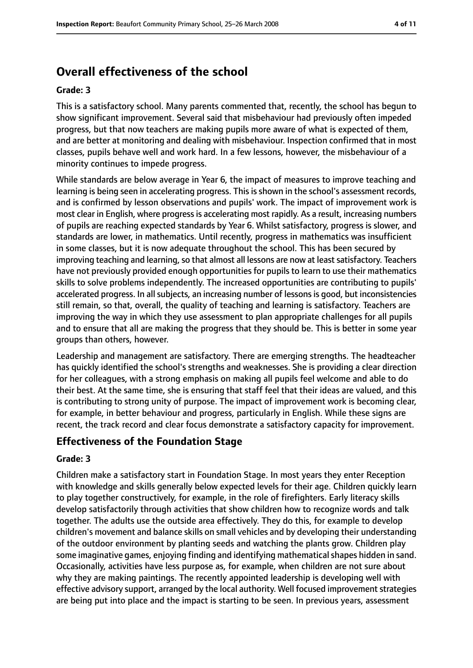# **Overall effectiveness of the school**

#### **Grade: 3**

This is a satisfactory school. Many parents commented that, recently, the school has begun to show significant improvement. Several said that misbehaviour had previously often impeded progress, but that now teachers are making pupils more aware of what is expected of them, and are better at monitoring and dealing with misbehaviour. Inspection confirmed that in most classes, pupils behave well and work hard. In a few lessons, however, the misbehaviour of a minority continues to impede progress.

While standards are below average in Year 6, the impact of measures to improve teaching and learning is being seen in accelerating progress. This is shown in the school's assessment records, and is confirmed by lesson observations and pupils' work. The impact of improvement work is most clear in English, where progressis accelerating most rapidly. As a result, increasing numbers of pupils are reaching expected standards by Year 6. Whilst satisfactory, progress is slower, and standards are lower, in mathematics. Until recently, progress in mathematics was insufficient in some classes, but it is now adequate throughout the school. This has been secured by improving teaching and learning, so that almost all lessons are now at least satisfactory. Teachers have not previously provided enough opportunities for pupils to learn to use their mathematics skills to solve problems independently. The increased opportunities are contributing to pupils' accelerated progress. In all subjects, an increasing number of lessons is good, but inconsistencies still remain, so that, overall, the quality of teaching and learning is satisfactory. Teachers are improving the way in which they use assessment to plan appropriate challenges for all pupils and to ensure that all are making the progress that they should be. This is better in some year groups than others, however.

Leadership and management are satisfactory. There are emerging strengths. The headteacher has quickly identified the school's strengths and weaknesses. She is providing a clear direction for her colleagues, with a strong emphasis on making all pupils feel welcome and able to do their best. At the same time, she is ensuring that staff feel that their ideas are valued, and this is contributing to strong unity of purpose. The impact of improvement work is becoming clear, for example, in better behaviour and progress, particularly in English. While these signs are recent, the track record and clear focus demonstrate a satisfactory capacity for improvement.

## **Effectiveness of the Foundation Stage**

#### **Grade: 3**

Children make a satisfactory start in Foundation Stage. In most years they enter Reception with knowledge and skills generally below expected levels for their age. Children quickly learn to play together constructively, for example, in the role of firefighters. Early literacy skills develop satisfactorily through activities that show children how to recognize words and talk together. The adults use the outside area effectively. They do this, for example to develop children's movement and balance skills on small vehicles and by developing their understanding of the outdoor environment by planting seeds and watching the plants grow. Children play some imaginative games, enjoying finding and identifying mathematical shapes hidden in sand. Occasionally, activities have less purpose as, for example, when children are not sure about why they are making paintings. The recently appointed leadership is developing well with effective advisory support, arranged by the local authority. Well focused improvement strategies are being put into place and the impact is starting to be seen. In previous years, assessment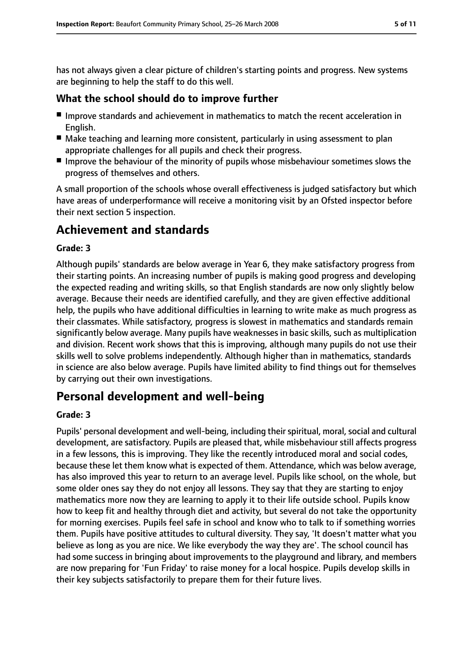has not always given a clear picture of children's starting points and progress. New systems are beginning to help the staff to do this well.

## **What the school should do to improve further**

- Improve standards and achievement in mathematics to match the recent acceleration in English.
- Make teaching and learning more consistent, particularly in using assessment to plan appropriate challenges for all pupils and check their progress.
- Improve the behaviour of the minority of pupils whose misbehaviour sometimes slows the progress of themselves and others.

A small proportion of the schools whose overall effectiveness is judged satisfactory but which have areas of underperformance will receive a monitoring visit by an Ofsted inspector before their next section 5 inspection.

# **Achievement and standards**

#### **Grade: 3**

Although pupils' standards are below average in Year 6, they make satisfactory progress from their starting points. An increasing number of pupils is making good progress and developing the expected reading and writing skills, so that English standards are now only slightly below average. Because their needs are identified carefully, and they are given effective additional help, the pupils who have additional difficulties in learning to write make as much progress as their classmates. While satisfactory, progress is slowest in mathematics and standards remain significantly below average. Many pupils have weaknesses in basic skills, such as multiplication and division. Recent work shows that this is improving, although many pupils do not use their skills well to solve problems independently. Although higher than in mathematics, standards in science are also below average. Pupils have limited ability to find things out for themselves by carrying out their own investigations.

# **Personal development and well-being**

#### **Grade: 3**

Pupils' personal development and well-being, including their spiritual, moral, social and cultural development, are satisfactory. Pupils are pleased that, while misbehaviour still affects progress in a few lessons, this is improving. They like the recently introduced moral and social codes, because these let them know what is expected of them. Attendance, which was below average, has also improved this year to return to an average level. Pupils like school, on the whole, but some older ones say they do not enjoy all lessons. They say that they are starting to enjoy mathematics more now they are learning to apply it to their life outside school. Pupils know how to keep fit and healthy through diet and activity, but several do not take the opportunity for morning exercises. Pupils feel safe in school and know who to talk to if something worries them. Pupils have positive attitudes to cultural diversity. They say, 'It doesn't matter what you believe as long as you are nice. We like everybody the way they are'. The school council has had some success in bringing about improvements to the playground and library, and members are now preparing for 'Fun Friday' to raise money for a local hospice. Pupils develop skills in their key subjects satisfactorily to prepare them for their future lives.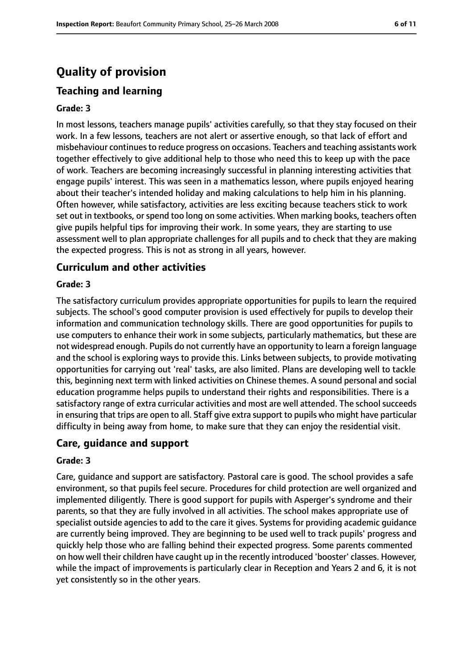# **Quality of provision**

# **Teaching and learning**

#### **Grade: 3**

In most lessons, teachers manage pupils' activities carefully, so that they stay focused on their work. In a few lessons, teachers are not alert or assertive enough, so that lack of effort and misbehaviour continuesto reduce progress on occasions. Teachers and teaching assistants work together effectively to give additional help to those who need this to keep up with the pace of work. Teachers are becoming increasingly successful in planning interesting activities that engage pupils' interest. This was seen in a mathematics lesson, where pupils enjoyed hearing about their teacher's intended holiday and making calculations to help him in his planning. Often however, while satisfactory, activities are less exciting because teachers stick to work set out in textbooks, or spend too long on some activities. When marking books, teachers often give pupils helpful tips for improving their work. In some years, they are starting to use assessment well to plan appropriate challenges for all pupils and to check that they are making the expected progress. This is not as strong in all years, however.

## **Curriculum and other activities**

#### **Grade: 3**

The satisfactory curriculum provides appropriate opportunities for pupils to learn the required subjects. The school's good computer provision is used effectively for pupils to develop their information and communication technology skills. There are good opportunities for pupils to use computers to enhance their work in some subjects, particularly mathematics, but these are not widespread enough. Pupils do not currently have an opportunity to learn a foreign language and the school is exploring ways to provide this. Links between subjects, to provide motivating opportunities for carrying out 'real' tasks, are also limited. Plans are developing well to tackle this, beginning next term with linked activities on Chinese themes. A sound personal and social education programme helps pupils to understand their rights and responsibilities. There is a satisfactory range of extra curricular activities and most are well attended. The school succeeds in ensuring that trips are open to all. Staff give extra support to pupils who might have particular difficulty in being away from home, to make sure that they can enjoy the residential visit.

# **Care, guidance and support**

#### **Grade: 3**

Care, guidance and support are satisfactory. Pastoral care is good. The school provides a safe environment, so that pupils feel secure. Procedures for child protection are well organized and implemented diligently. There is good support for pupils with Asperger's syndrome and their parents, so that they are fully involved in all activities. The school makes appropriate use of specialist outside agencies to add to the care it gives. Systems for providing academic guidance are currently being improved. They are beginning to be used well to track pupils' progress and quickly help those who are falling behind their expected progress. Some parents commented on how well their children have caught up in the recently introduced 'booster' classes. However, while the impact of improvements is particularly clear in Reception and Years 2 and 6, it is not yet consistently so in the other years.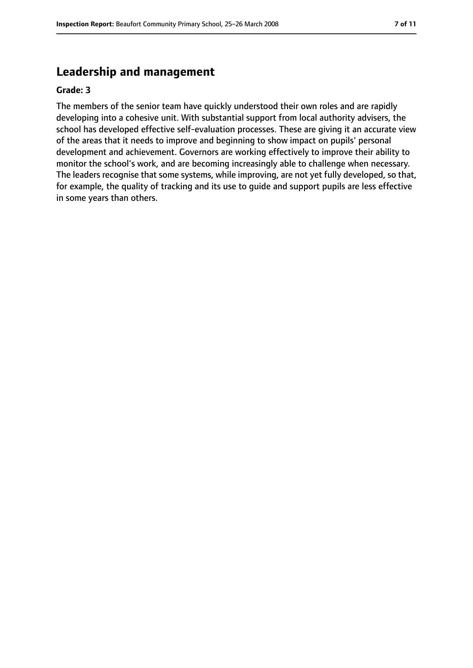# **Leadership and management**

#### **Grade: 3**

The members of the senior team have quickly understood their own roles and are rapidly developing into a cohesive unit. With substantial support from local authority advisers, the school has developed effective self-evaluation processes. These are giving it an accurate view of the areas that it needs to improve and beginning to show impact on pupils' personal development and achievement. Governors are working effectively to improve their ability to monitor the school's work, and are becoming increasingly able to challenge when necessary. The leaders recognise that some systems, while improving, are not yet fully developed, so that, for example, the quality of tracking and its use to guide and support pupils are less effective in some years than others.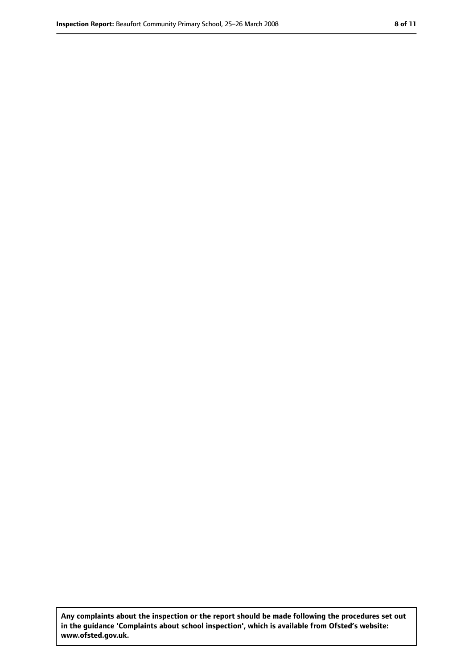**Any complaints about the inspection or the report should be made following the procedures set out in the guidance 'Complaints about school inspection', which is available from Ofsted's website: www.ofsted.gov.uk.**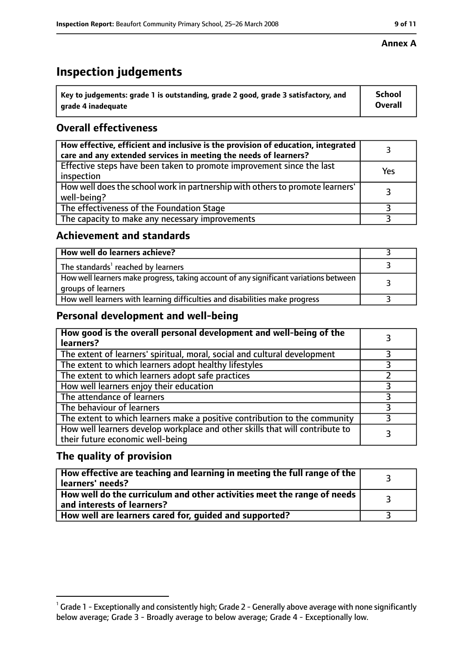# **Inspection judgements**

| $^{\backprime}$ Key to judgements: grade 1 is outstanding, grade 2 good, grade 3 satisfactory, and | School         |
|----------------------------------------------------------------------------------------------------|----------------|
| arade 4 inadequate                                                                                 | <b>Overall</b> |

# **Overall effectiveness**

| How effective, efficient and inclusive is the provision of education, integrated<br>care and any extended services in meeting the needs of learners? |     |
|------------------------------------------------------------------------------------------------------------------------------------------------------|-----|
| Effective steps have been taken to promote improvement since the last<br>inspection                                                                  | Yes |
| How well does the school work in partnership with others to promote learners'<br>well-being?                                                         |     |
| The effectiveness of the Foundation Stage                                                                                                            |     |
| The capacity to make any necessary improvements                                                                                                      |     |

## **Achievement and standards**

| How well do learners achieve?                                                                               |  |
|-------------------------------------------------------------------------------------------------------------|--|
| The standards <sup>1</sup> reached by learners                                                              |  |
| How well learners make progress, taking account of any significant variations between<br>groups of learners |  |
| How well learners with learning difficulties and disabilities make progress                                 |  |

## **Personal development and well-being**

| How good is the overall personal development and well-being of the<br>learners?                                  |  |
|------------------------------------------------------------------------------------------------------------------|--|
| The extent of learners' spiritual, moral, social and cultural development                                        |  |
| The extent to which learners adopt healthy lifestyles                                                            |  |
| The extent to which learners adopt safe practices                                                                |  |
| How well learners enjoy their education                                                                          |  |
| The attendance of learners                                                                                       |  |
| The behaviour of learners                                                                                        |  |
| The extent to which learners make a positive contribution to the community                                       |  |
| How well learners develop workplace and other skills that will contribute to<br>their future economic well-being |  |

# **The quality of provision**

| How effective are teaching and learning in meeting the full range of the<br>learners' needs?          |  |
|-------------------------------------------------------------------------------------------------------|--|
| How well do the curriculum and other activities meet the range of needs<br>and interests of learners? |  |
| How well are learners cared for, guided and supported?                                                |  |

 $^1$  Grade 1 - Exceptionally and consistently high; Grade 2 - Generally above average with none significantly below average; Grade 3 - Broadly average to below average; Grade 4 - Exceptionally low.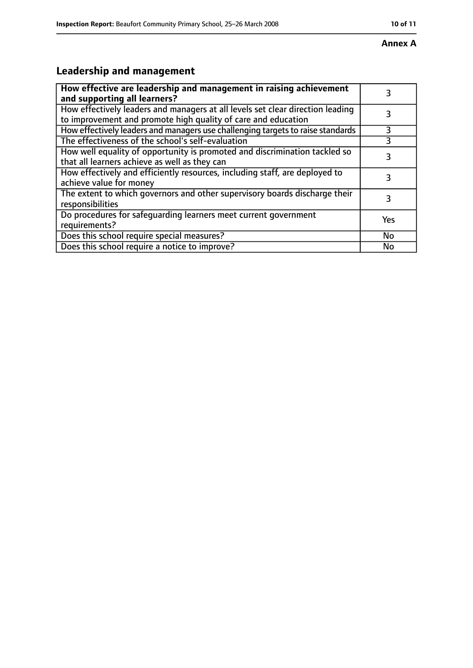#### **Annex A**

# **Leadership and management**

| How effective are leadership and management in raising achievement<br>and supporting all learners?                                              |     |
|-------------------------------------------------------------------------------------------------------------------------------------------------|-----|
| How effectively leaders and managers at all levels set clear direction leading<br>to improvement and promote high quality of care and education |     |
| How effectively leaders and managers use challenging targets to raise standards                                                                 | 3   |
| The effectiveness of the school's self-evaluation                                                                                               | 3   |
| How well equality of opportunity is promoted and discrimination tackled so<br>that all learners achieve as well as they can                     |     |
| How effectively and efficiently resources, including staff, are deployed to<br>achieve value for money                                          | 3   |
| The extent to which governors and other supervisory boards discharge their<br>responsibilities                                                  |     |
| Do procedures for safequarding learners meet current government<br>requirements?                                                                | Yes |
| Does this school require special measures?                                                                                                      | No  |
| Does this school require a notice to improve?                                                                                                   | No  |